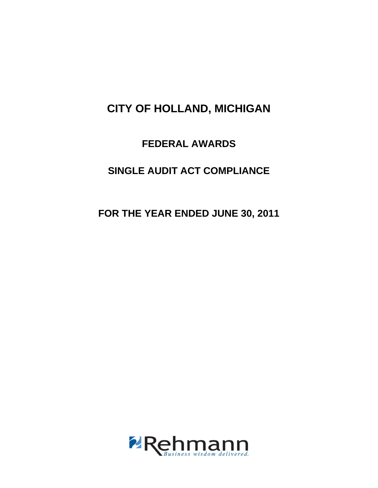# **FEDERAL AWARDS**

# **SINGLE AUDIT ACT COMPLIANCE**

**FOR THE YEAR ENDED JUNE 30, 2011** 

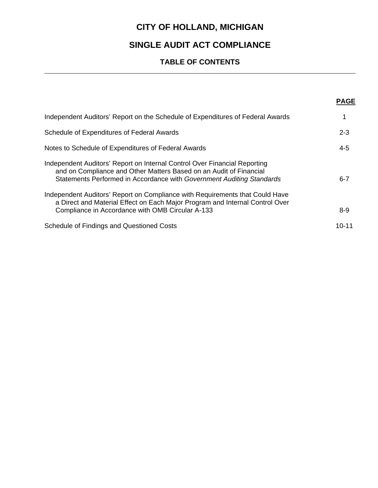# **SINGLE AUDIT ACT COMPLIANCE**

# **TABLE OF CONTENTS**

|                                                                                                                                                                                                                          | <b>PAGE</b> |
|--------------------------------------------------------------------------------------------------------------------------------------------------------------------------------------------------------------------------|-------------|
| Independent Auditors' Report on the Schedule of Expenditures of Federal Awards                                                                                                                                           |             |
| Schedule of Expenditures of Federal Awards                                                                                                                                                                               | $2 - 3$     |
| Notes to Schedule of Expenditures of Federal Awards                                                                                                                                                                      | $4 - 5$     |
| Independent Auditors' Report on Internal Control Over Financial Reporting<br>and on Compliance and Other Matters Based on an Audit of Financial<br>Statements Performed in Accordance with Government Auditing Standards | $6 - 7$     |
| Independent Auditors' Report on Compliance with Requirements that Could Have<br>a Direct and Material Effect on Each Major Program and Internal Control Over<br>Compliance in Accordance with OMB Circular A-133         | $8 - 9$     |
| Schedule of Findings and Questioned Costs                                                                                                                                                                                | $10 - 11$   |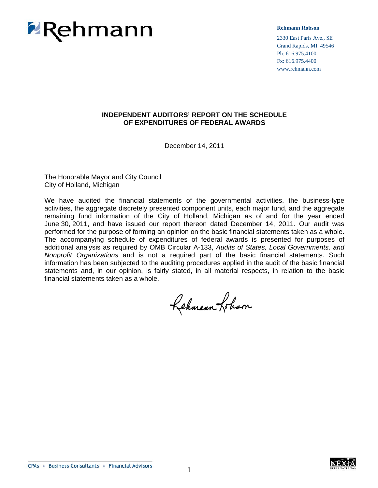

**Rehmann Robson**

2330 East Paris Ave., SE Grand Rapids, MI 49546 Ph: 616.975.4100 Fx: 616.975.4400 www.rehmann.com

### **INDEPENDENT AUDITORS' REPORT ON THE SCHEDULE OF EXPENDITURES OF FEDERAL AWARDS**

December 14, 2011

The Honorable Mayor and City Council City of Holland, Michigan

We have audited the financial statements of the governmental activities, the business-type activities, the aggregate discretely presented component units, each major fund, and the aggregate remaining fund information of the City of Holland, Michigan as of and for the year ended June 30, 2011, and have issued our report thereon dated December 14, 2011. Our audit was performed for the purpose of forming an opinion on the basic financial statements taken as a whole. The accompanying schedule of expenditures of federal awards is presented for purposes of additional analysis as required by OMB Circular A-133, *Audits of States, Local Governments, and Nonprofit Organizations* and is not a required part of the basic financial statements. Such information has been subjected to the auditing procedures applied in the audit of the basic financial statements and, in our opinion, is fairly stated, in all material respects, in relation to the basic financial statements taken as a whole.

Rehmann Loham

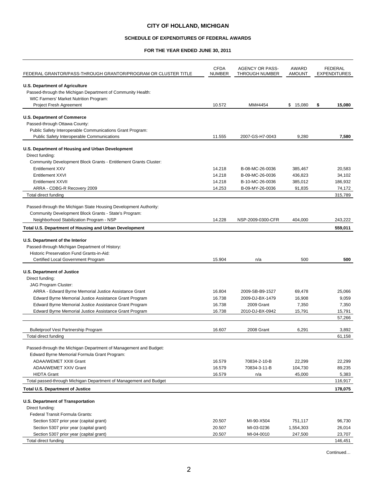### **SCHEDULE OF EXPENDITURES OF FEDERAL AWARDS**

### **FOR THE YEAR ENDED JUNE 30, 2011**

| FEDERAL GRANTOR/PASS-THROUGH GRANTOR/PROGRAM OR CLUSTER TITLE                                                    | <b>CFDA</b><br>NUMBER | <b>AGENCY OR PASS-</b><br><b>THROUGH NUMBER</b> | AWARD<br><b>AMOUNT</b> | <b>FEDERAL</b><br><b>EXPENDITURES</b> |
|------------------------------------------------------------------------------------------------------------------|-----------------------|-------------------------------------------------|------------------------|---------------------------------------|
| <b>U.S. Department of Agriculture</b>                                                                            |                       |                                                 |                        |                                       |
| Passed-through the Michigan Department of Community Health:                                                      |                       |                                                 |                        |                                       |
| WIC Farmers' Market Nutrition Program:                                                                           |                       |                                                 |                        |                                       |
| Project Fresh Agreement                                                                                          | 10.572                | MM#4454                                         | \$15,080               | \$<br>15,080                          |
| <b>U.S. Department of Commerce</b>                                                                               |                       |                                                 |                        |                                       |
| Passed-through Ottawa County:                                                                                    |                       |                                                 |                        |                                       |
| Public Safety Interoperable Communications Grant Program:                                                        |                       |                                                 |                        |                                       |
| Public Safety Interoperable Communications                                                                       | 11.555                | 2007-GS-H7-0043                                 | 9,280                  | 7,580                                 |
| U.S. Department of Housing and Urban Development                                                                 |                       |                                                 |                        |                                       |
| Direct funding:                                                                                                  |                       |                                                 |                        |                                       |
| Community Development Block Grants - Entitlement Grants Cluster:                                                 |                       |                                                 |                        |                                       |
| Entitlement XXV                                                                                                  | 14.218                | B-08-MC-26-0036                                 | 385,467                | 20,583                                |
| <b>Entitlement XXVI</b>                                                                                          | 14.218                | B-09-MC-26-0036                                 | 436,823                | 34,102                                |
| Entitlement XXVII                                                                                                | 14.218                | B-10-MC-26-0036                                 | 385,012                | 186,932                               |
| ARRA - CDBG-R Recovery 2009                                                                                      | 14.253                | B-09-MY-26-0036                                 | 91,835                 | 74,172                                |
| Total direct funding                                                                                             |                       |                                                 |                        | 315,789                               |
| Passed-through the Michigan State Housing Development Authority:                                                 |                       |                                                 |                        |                                       |
| Community Development Block Grants - State's Program:                                                            |                       |                                                 |                        |                                       |
| Neighborhood Stabilization Program - NSP                                                                         | 14.228                | NSP-2009-0300-CFR                               | 404,000                | 243,222                               |
| Total U.S. Department of Housing and Urban Development                                                           |                       |                                                 |                        | 559,011                               |
| U.S. Department of the Interior                                                                                  |                       |                                                 |                        |                                       |
| Passed-through Michigan Department of History:                                                                   |                       |                                                 |                        |                                       |
| Historic Preservation Fund Grants-in-Aid:                                                                        |                       |                                                 |                        |                                       |
| Certified Local Government Program                                                                               | 15.904                | n/a                                             | 500                    | 500                                   |
|                                                                                                                  |                       |                                                 |                        |                                       |
| U.S. Department of Justice<br>Direct funding:                                                                    |                       |                                                 |                        |                                       |
| JAG Program Cluster:                                                                                             |                       |                                                 |                        |                                       |
| ARRA - Edward Byrne Memorial Justice Assistance Grant                                                            | 16.804                | 2009-SB-B9-1527                                 | 69,478                 | 25,066                                |
| Edward Byrne Memorial Justice Assistance Grant Program                                                           | 16.738                | 2009-DJ-BX-1479                                 | 16,908                 | 9,059                                 |
| Edward Byrne Memorial Justice Assistance Grant Program                                                           | 16.738                | 2009 Grant                                      | 7,350                  | 7,350                                 |
| Edward Byrne Memorial Justice Assistance Grant Program                                                           | 16.738                | 2010-DJ-BX-0942                                 | 15,791                 | 15,791                                |
|                                                                                                                  |                       |                                                 |                        | 57,266                                |
| Bulletproof Vest Partnership Program                                                                             | 16.607                | 2008 Grant                                      | 6,291                  | 3,892                                 |
| Total direct funding                                                                                             |                       |                                                 |                        | 61,158                                |
|                                                                                                                  |                       |                                                 |                        |                                       |
| Passed-through the Michigan Department of Management and Budget:<br>Edward Byrne Memorial Formula Grant Program: |                       |                                                 |                        |                                       |
| ADAA/WEMET XXIII Grant                                                                                           | 16.579                | 70834-2-10-B                                    | 22,299                 | 22,299                                |
| <b>ADAA/WEMET XXIV Grant</b>                                                                                     |                       |                                                 |                        |                                       |
| <b>HIDTA Grant</b>                                                                                               |                       |                                                 |                        |                                       |
|                                                                                                                  | 16.579                | 70834-3-11-B                                    | 104,730                | 89,235                                |
|                                                                                                                  | 16.579                | n/a                                             | 45,000                 | 5,383                                 |
| Total passed-through Michigan Department of Management and Budget<br><b>Total U.S. Department of Justice</b>     |                       |                                                 |                        | 116,917<br>178,075                    |
|                                                                                                                  |                       |                                                 |                        |                                       |
| U.S. Department of Transportation                                                                                |                       |                                                 |                        |                                       |
| Direct funding:                                                                                                  |                       |                                                 |                        |                                       |
| Federal Transit Formula Grants:                                                                                  |                       |                                                 |                        |                                       |
| Section 5307 prior year (capital grant)                                                                          | 20.507                | MI-90-X504                                      | 751,117                | 96,730                                |
| Section 5307 prior year (capital grant)<br>Section 5307 prior year (capital grant)                               | 20.507<br>20.507      | MI-03-0236<br>MI-04-0010                        | 1,554,303<br>247,500   | 26,014<br>23,707                      |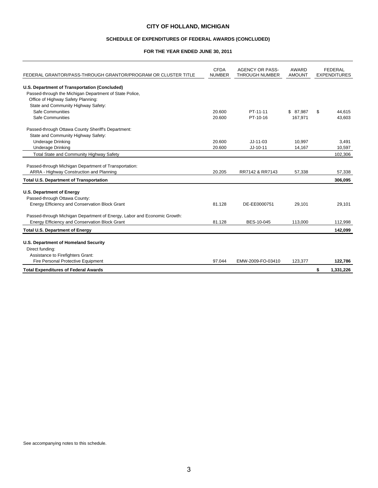### **SCHEDULE OF EXPENDITURES OF FEDERAL AWARDS (CONCLUDED)**

### **FOR THE YEAR ENDED JUNE 30, 2011**

| FEDERAL GRANTOR/PASS-THROUGH GRANTOR/PROGRAM OR CLUSTER TITLE            | <b>CFDA</b><br><b>NUMBER</b> | <b>AGENCY OR PASS-</b><br><b>THROUGH NUMBER</b> | AWARD<br><b>AMOUNT</b> | <b>FEDERAL</b><br><b>EXPENDITURES</b> |
|--------------------------------------------------------------------------|------------------------------|-------------------------------------------------|------------------------|---------------------------------------|
| U.S. Department of Transportation (Concluded)                            |                              |                                                 |                        |                                       |
| Passed-through the Michigan Department of State Police,                  |                              |                                                 |                        |                                       |
| Office of Highway Safety Planning:                                       |                              |                                                 |                        |                                       |
| State and Community Highway Safety:                                      |                              |                                                 |                        |                                       |
| Safe Communities                                                         | 20.600                       | PT-11-11                                        | \$ 87.987              | \$<br>44.615                          |
| <b>Safe Communities</b>                                                  | 20.600                       | PT-10-16                                        | 167,971                | 43,603                                |
| Passed-through Ottawa County Sheriff's Department:                       |                              |                                                 |                        |                                       |
| State and Community Highway Safety:                                      |                              |                                                 |                        |                                       |
| <b>Underage Drinking</b>                                                 | 20.600                       | $JJ-11-03$                                      | 10,997                 | 3,491                                 |
| <b>Underage Drinking</b>                                                 | 20.600                       | $JJ-10-11$                                      | 14,167                 | 10,597                                |
| Total State and Community Highway Safety                                 |                              |                                                 |                        | 102,306                               |
| Passed-through Michigan Department of Transportation:                    |                              |                                                 |                        |                                       |
| ARRA - Highway Construction and Planning                                 | 20.205                       | RR7142 & RR7143                                 | 57,338                 | 57,338                                |
| <b>Total U.S. Department of Transportation</b>                           |                              |                                                 |                        | 306,095                               |
| <b>U.S. Department of Energy</b>                                         |                              |                                                 |                        |                                       |
| Passed-through Ottawa County:                                            |                              |                                                 |                        |                                       |
| Energy Efficiency and Conservation Block Grant                           | 81.128                       | DE-EE0000751                                    | 29.101                 | 29,101                                |
|                                                                          |                              |                                                 |                        |                                       |
| Passed-through Michigan Department of Energy, Labor and Economic Growth: |                              |                                                 |                        |                                       |
| Energy Efficiency and Conservation Block Grant                           | 81.128                       | BES-10-045                                      | 113,000                | 112,998                               |
| <b>Total U.S. Department of Energy</b>                                   |                              |                                                 |                        | 142,099                               |
| U.S. Department of Homeland Security                                     |                              |                                                 |                        |                                       |
| Direct funding:                                                          |                              |                                                 |                        |                                       |
| Assistance to Firefighters Grant:                                        |                              |                                                 |                        |                                       |
| Fire Personal Protective Equipment                                       | 97.044                       | EMW-2009-FO-03410                               | 123,377                | 122,786                               |
| <b>Total Expenditures of Federal Awards</b>                              |                              |                                                 |                        | \$<br>1,331,226                       |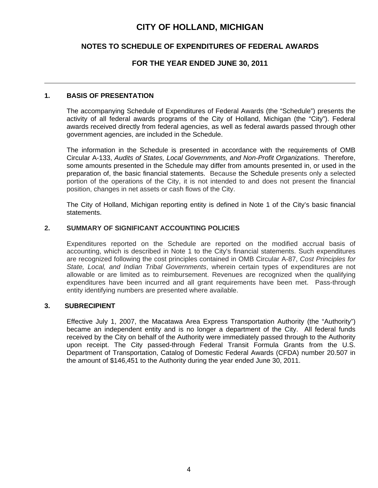# **NOTES TO SCHEDULE OF EXPENDITURES OF FEDERAL AWARDS**

## **FOR THE YEAR ENDED JUNE 30, 2011**

### **1. BASIS OF PRESENTATION**

The accompanying Schedule of Expenditures of Federal Awards (the "Schedule") presents the activity of all federal awards programs of the City of Holland, Michigan (the "City"). Federal awards received directly from federal agencies, as well as federal awards passed through other government agencies, are included in the Schedule.

The information in the Schedule is presented in accordance with the requirements of OMB Circular A-133, *Audits of States, Local Governments, and Non-Profit Organizations*. Therefore, some amounts presented in the Schedule may differ from amounts presented in, or used in the preparation of, the basic financial statements. Because the Schedule presents only a selected portion of the operations of the City, it is not intended to and does not present the financial position, changes in net assets or cash flows of the City.

The City of Holland, Michigan reporting entity is defined in Note 1 of the City's basic financial statements.

### **2. SUMMARY OF SIGNIFICANT ACCOUNTING POLICIES**

Expenditures reported on the Schedule are reported on the modified accrual basis of accounting, which is described in Note 1 to the City's financial statements. Such expenditures are recognized following the cost principles contained in OMB Circular A-87, *Cost Principles for State, Local, and Indian Tribal Governments*, wherein certain types of expenditures are not allowable or are limited as to reimbursement. Revenues are recognized when the qualifying expenditures have been incurred and all grant requirements have been met. Pass-through entity identifying numbers are presented where available.

### **3. SUBRECIPIENT**

Effective July 1, 2007, the Macatawa Area Express Transportation Authority (the "Authority") became an independent entity and is no longer a department of the City. All federal funds received by the City on behalf of the Authority were immediately passed through to the Authority upon receipt. The City passed-through Federal Transit Formula Grants from the U.S. Department of Transportation, Catalog of Domestic Federal Awards (CFDA) number 20.507 in the amount of \$146,451 to the Authority during the year ended June 30, 2011.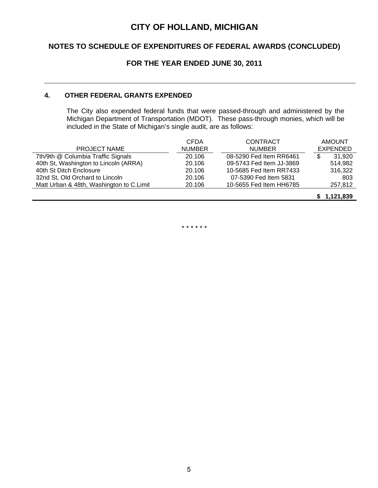# **NOTES TO SCHEDULE OF EXPENDITURES OF FEDERAL AWARDS (CONCLUDED)**

## **FOR THE YEAR ENDED JUNE 30, 2011**

## **4. OTHER FEDERAL GRANTS EXPENDED**

The City also expended federal funds that were passed-through and administered by the Michigan Department of Transportation (MDOT). These pass-through monies, which will be included in the State of Michigan's single audit, are as follows:

| <b>PROJECT NAME</b>                      | <b>CFDA</b><br><b>NUMBER</b> | <b>CONTRACT</b><br><b>NUMBER</b> | <b>AMOUNT</b><br><b>EXPENDED</b> |
|------------------------------------------|------------------------------|----------------------------------|----------------------------------|
| 7th/9th @ Columbia Traffic Signals       | 20.106                       | 08-5290 Fed Item RR6461          | 31,920<br>S                      |
| 40th St, Washington to Lincoln (ARRA)    | 20.106                       | 09-5743 Fed Item JJ-3869         | 514,982                          |
| 40th St Ditch Enclosure                  | 20.106                       | 10-5685 Fed Item RR7433          | 316,322                          |
| 32nd St, Old Orchard to Lincoln          | 20.106                       | 07-5390 Fed Item 5831            | 803                              |
| Matt Urban & 48th, Washington to C.Limit | 20.106                       | 10-5655 Fed Item HH6785          | 257,812                          |
|                                          |                              |                                  | \$1,121,839                      |

\* \* \* \* \* \*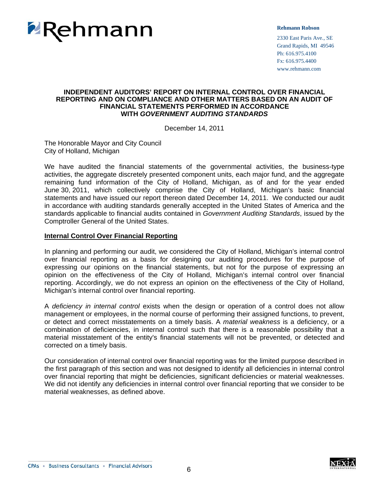

#### **Rehmann Robson**

2330 East Paris Ave., SE Grand Rapids, MI 49546 Ph: 616.975.4100 Fx: 616.975.4400 www.rehmann.com

### **INDEPENDENT AUDITORS' REPORT ON INTERNAL CONTROL OVER FINANCIAL REPORTING AND ON COMPLIANCE AND OTHER MATTERS BASED ON AN AUDIT OF FINANCIAL STATEMENTS PERFORMED IN ACCORDANCE WITH** *GOVERNMENT AUDITING STANDARDS*

December 14, 2011

The Honorable Mayor and City Council City of Holland, Michigan

We have audited the financial statements of the governmental activities, the business-type activities, the aggregate discretely presented component units, each major fund, and the aggregate remaining fund information of the City of Holland, Michigan, as of and for the year ended June 30, 2011, which collectively comprise the City of Holland, Michigan's basic financial statements and have issued our report thereon dated December 14, 2011. We conducted our audit in accordance with auditing standards generally accepted in the United States of America and the standards applicable to financial audits contained in *Government Auditing Standards*, issued by the Comptroller General of the United States.

### **Internal Control Over Financial Reporting**

In planning and performing our audit, we considered the City of Holland, Michigan's internal control over financial reporting as a basis for designing our auditing procedures for the purpose of expressing our opinions on the financial statements, but not for the purpose of expressing an opinion on the effectiveness of the City of Holland, Michigan's internal control over financial reporting. Accordingly, we do not express an opinion on the effectiveness of the City of Holland, Michigan's internal control over financial reporting.

A *deficiency in internal control* exists when the design or operation of a control does not allow management or employees, in the normal course of performing their assigned functions, to prevent, or detect and correct misstatements on a timely basis. A *material weakness* is a deficiency, or a combination of deficiencies, in internal control such that there is a reasonable possibility that a material misstatement of the entity's financial statements will not be prevented, or detected and corrected on a timely basis.

Our consideration of internal control over financial reporting was for the limited purpose described in the first paragraph of this section and was not designed to identify all deficiencies in internal control over financial reporting that might be deficiencies, significant deficiencies or material weaknesses. We did not identify any deficiencies in internal control over financial reporting that we consider to be material weaknesses, as defined above.

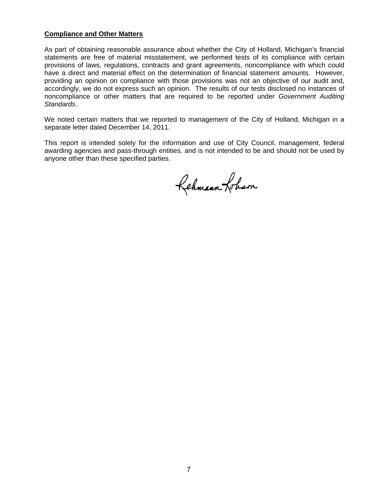### **Compliance and Other Matters**

As part of obtaining reasonable assurance about whether the City of Holland, Michigan's financial statements are free of material misstatement, we performed tests of its compliance with certain provisions of laws, regulations, contracts and grant agreements, noncompliance with which could have a direct and material effect on the determination of financial statement amounts. However, providing an opinion on compliance with those provisions was not an objective of our audit and, accordingly, we do not express such an opinion. The results of our tests disclosed no instances of noncompliance or other matters that are required to be reported under *Government Auditing Standards*.

We noted certain matters that we reported to management of the City of Holland, Michigan in a separate letter dated December 14, 2011.

This report is intended solely for the information and use of City Council, management, federal awarding agencies and pass-through entities, and is not intended to be and should not be used by anyone other than these specified parties.

Rehmann Loham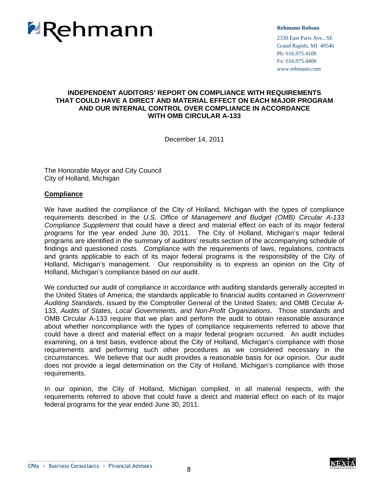

#### **Rehmann Robson**

2330 East Paris Ave., SE Grand Rapids, MI 49546 Ph: 616.975.4100 Fx: 616.975.4400 www.rehmann.com

### **INDEPENDENT AUDITORS' REPORT ON COMPLIANCE WITH REQUIREMENTS THAT COULD HAVE A DIRECT AND MATERIAL EFFECT ON EACH MAJOR PROGRAM AND OUR INTERNAL CONTROL OVER COMPLIANCE IN ACCORDANCE WITH OMB CIRCULAR A-133**

December 14, 2011

The Honorable Mayor and City Council City of Holland, Michigan

### **Compliance**

We have audited the compliance of the City of Holland, Michigan with the types of compliance requirements described in the *U.S. Office of Management and Budget (OMB) Circular A-133 Compliance Supplement* that could have a direct and material effect on each of its major federal programs for the year ended June 30, 2011. The City of Holland, Michigan's major federal programs are identified in the summary of auditors' results section of the accompanying schedule of findings and questioned costs. Compliance with the requirements of laws, regulations, contracts and grants applicable to each of its major federal programs is the responsibility of the City of Holland, Michigan's management. Our responsibility is to express an opinion on the City of Holland, Michigan's compliance based on our audit.

We conducted our audit of compliance in accordance with auditing standards generally accepted in the United States of America; the standards applicable to financial audits contained in *Government Auditing Standards*, issued by the Comptroller General of the United States; and OMB Circular A-133, *Audits of States, Local Governments, and Non-Profit Organizations*. Those standards and OMB Circular A-133 require that we plan and perform the audit to obtain reasonable assurance about whether noncompliance with the types of compliance requirements referred to above that could have a direct and material effect on a major federal program occurred. An audit includes examining, on a test basis, evidence about the City of Holland, Michigan's compliance with those requirements and performing such other procedures as we considered necessary in the circumstances. We believe that our audit provides a reasonable basis for our opinion. Our audit does not provide a legal determination on the City of Holland, Michigan's compliance with those requirements.

In our opinion, the City of Holland, Michigan complied, in all material respects, with the requirements referred to above that could have a direct and material effect on each of its major federal programs for the year ended June 30, 2011.

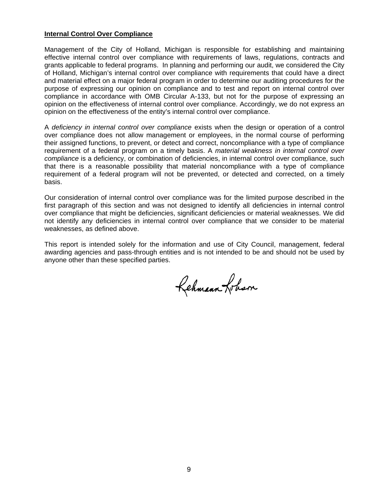### **Internal Control Over Compliance**

Management of the City of Holland, Michigan is responsible for establishing and maintaining effective internal control over compliance with requirements of laws, regulations, contracts and grants applicable to federal programs. In planning and performing our audit, we considered the City of Holland, Michigan's internal control over compliance with requirements that could have a direct and material effect on a major federal program in order to determine our auditing procedures for the purpose of expressing our opinion on compliance and to test and report on internal control over compliance in accordance with OMB Circular A-133, but not for the purpose of expressing an opinion on the effectiveness of internal control over compliance. Accordingly, we do not express an opinion on the effectiveness of the entity's internal control over compliance.

A *deficiency in internal control over compliance* exists when the design or operation of a control over compliance does not allow management or employees, in the normal course of performing their assigned functions, to prevent, or detect and correct, noncompliance with a type of compliance requirement of a federal program on a timely basis. A *material weakness in internal control over compliance* is a deficiency, or combination of deficiencies, in internal control over compliance, such that there is a reasonable possibility that material noncompliance with a type of compliance requirement of a federal program will not be prevented, or detected and corrected, on a timely basis.

Our consideration of internal control over compliance was for the limited purpose described in the first paragraph of this section and was not designed to identify all deficiencies in internal control over compliance that might be deficiencies, significant deficiencies or material weaknesses. We did not identify any deficiencies in internal control over compliance that we consider to be material weaknesses, as defined above.

This report is intended solely for the information and use of City Council, management, federal awarding agencies and pass-through entities and is not intended to be and should not be used by anyone other than these specified parties.

Rehmann Lobson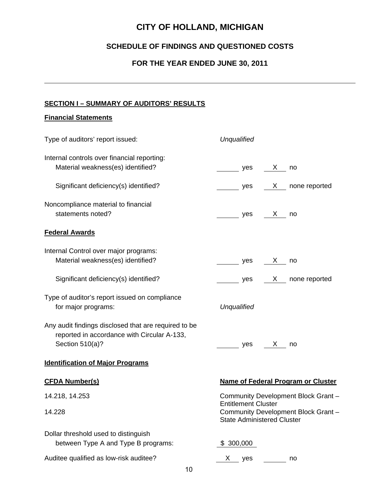# **SCHEDULE OF FINDINGS AND QUESTIONED COSTS**

# **FOR THE YEAR ENDED JUNE 30, 2011**

# **SECTION I – SUMMARY OF AUDITORS' RESULTS**

# **Financial Statements**

| Type of auditors' report issued:                                                                                       | Unqualified                                                             |  |  |
|------------------------------------------------------------------------------------------------------------------------|-------------------------------------------------------------------------|--|--|
| Internal controls over financial reporting:<br>Material weakness(es) identified?                                       | yes X no                                                                |  |  |
| Significant deficiency(s) identified?                                                                                  | $\frac{1}{1}$ yes $\frac{1}{1}$ none reported                           |  |  |
| Noncompliance material to financial<br>statements noted?                                                               | yes X no                                                                |  |  |
| <b>Federal Awards</b>                                                                                                  |                                                                         |  |  |
| Internal Control over major programs:<br>Material weakness(es) identified?                                             | yes<br>$\frac{X}{1}$ no                                                 |  |  |
| Significant deficiency(s) identified?                                                                                  | yes X none reported                                                     |  |  |
| Type of auditor's report issued on compliance<br>for major programs:                                                   | Unqualified                                                             |  |  |
| Any audit findings disclosed that are required to be<br>reported in accordance with Circular A-133,<br>Section 510(a)? | yes X no                                                                |  |  |
| <b>Identification of Major Programs</b>                                                                                |                                                                         |  |  |
| <b>CFDA Number(s)</b>                                                                                                  | Name of Federal Program or Cluster                                      |  |  |
| 14.218, 14.253                                                                                                         | Community Development Block Grant-<br><b>Entitlement Cluster</b>        |  |  |
| 14.228                                                                                                                 | Community Development Block Grant-<br><b>State Administered Cluster</b> |  |  |
| Dollar threshold used to distinguish<br>between Type A and Type B programs:                                            | \$300,000                                                               |  |  |
| Auditee qualified as low-risk auditee?<br>10                                                                           | X.<br>yes<br>no                                                         |  |  |